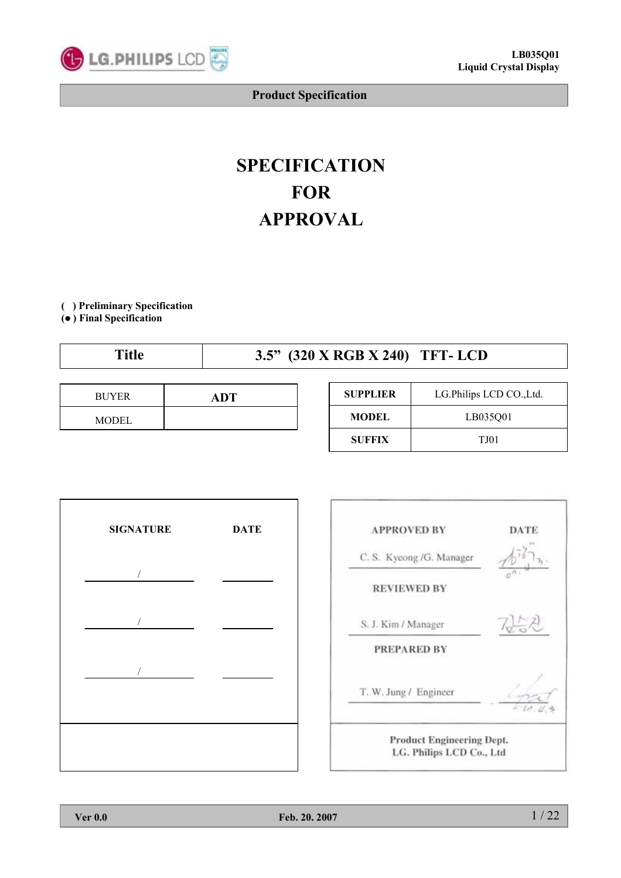

# **SPECIFICATION FOR APPROVAL**

**( ) Preliminary Specification**

**(**● **) Final Specification**

| ``itle | 3.5" (320 X RGB X 240) TFT-LCD |
|--------|--------------------------------|
|        |                                |

| <b>BUYER</b> | ADT |
|--------------|-----|
| MODEL        |     |

| <b>SUPPLIER</b> | LG.Philips LCD CO., Ltd. |
|-----------------|--------------------------|
| <b>MODEL</b>    | LB035001                 |
| <b>SUFFIX</b>   | <b>TJ01</b>              |





**LG. Philips LCD Co., Ltd**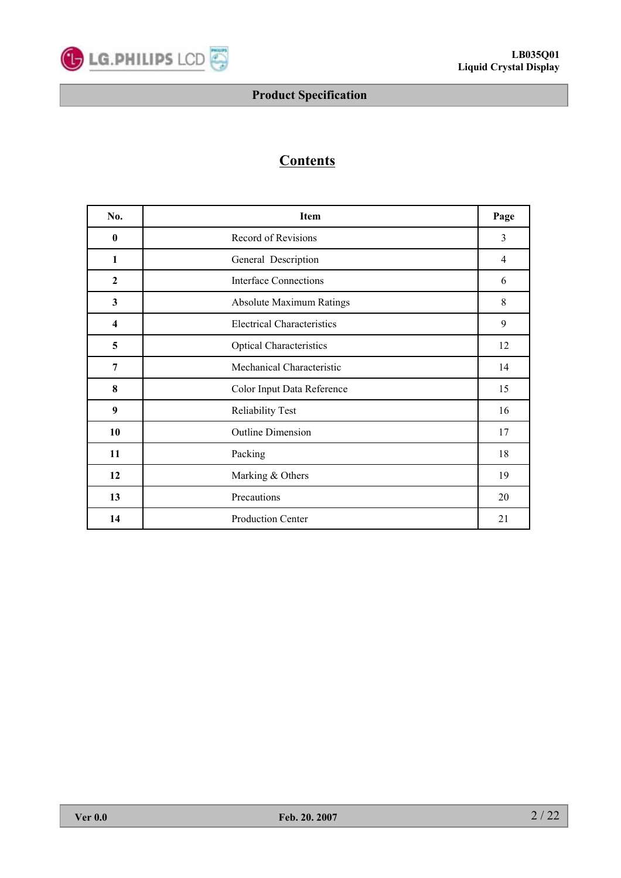

# **Contents**

| No.                     | Item                              | Page |  |  |  |  |  |
|-------------------------|-----------------------------------|------|--|--|--|--|--|
| $\bf{0}$                | Record of Revisions               | 3    |  |  |  |  |  |
| $\mathbf{1}$            | General Description               |      |  |  |  |  |  |
| $\mathbf{2}$            | <b>Interface Connections</b>      | 6    |  |  |  |  |  |
| $\mathbf{3}$            | <b>Absolute Maximum Ratings</b>   | 8    |  |  |  |  |  |
| $\overline{\mathbf{4}}$ | <b>Electrical Characteristics</b> |      |  |  |  |  |  |
| 5                       | <b>Optical Characteristics</b>    |      |  |  |  |  |  |
| 7                       | Mechanical Characteristic         |      |  |  |  |  |  |
| 8                       | Color Input Data Reference        |      |  |  |  |  |  |
| 9                       | <b>Reliability Test</b>           |      |  |  |  |  |  |
| 10                      | <b>Outline Dimension</b>          |      |  |  |  |  |  |
| 11                      | Packing                           |      |  |  |  |  |  |
| 12                      | Marking & Others                  |      |  |  |  |  |  |
| 13                      | Precautions                       | 20   |  |  |  |  |  |
| 14                      | <b>Production Center</b>          | 21   |  |  |  |  |  |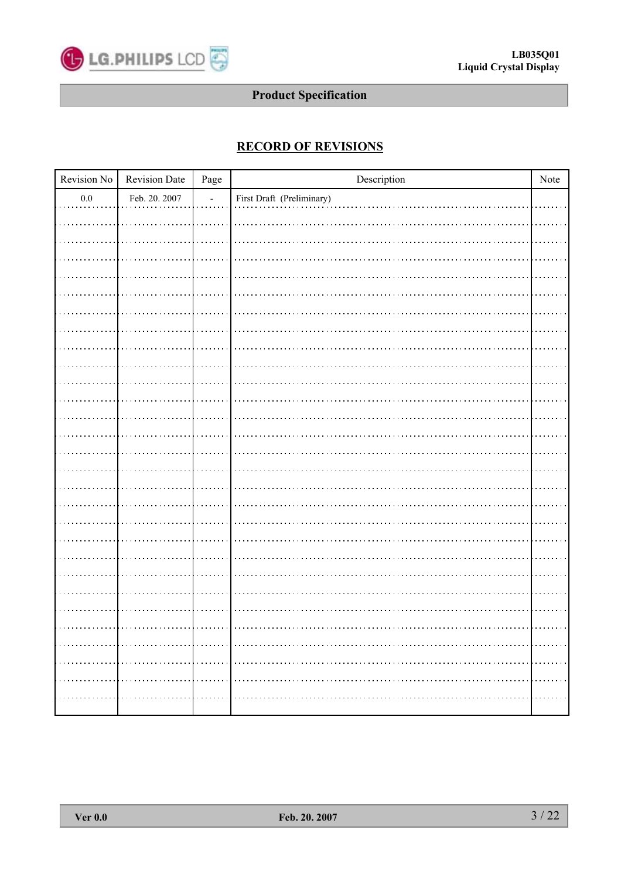

# **RECORD OF REVISIONS**

| Revision No | Revision Date | $_{\rm Page}$  | $\!$                      | Note |
|-------------|---------------|----------------|---------------------------|------|
| $0.0\,$     | Feb. 20. 2007 | $\overline{a}$ | First Draft (Preliminary) |      |
|             |               |                |                           |      |
|             |               |                |                           |      |
|             |               |                |                           |      |
|             |               |                |                           |      |
|             |               |                |                           |      |
|             |               |                |                           |      |
|             |               |                |                           |      |
|             |               |                |                           |      |
|             |               |                |                           |      |
|             |               |                |                           |      |
|             |               |                |                           |      |
|             |               |                |                           |      |
|             |               |                |                           |      |
|             |               |                |                           |      |
|             |               |                |                           |      |
|             |               |                |                           |      |
|             |               |                |                           |      |
|             |               |                |                           |      |
|             |               |                |                           |      |
|             |               |                |                           |      |
|             |               |                |                           |      |
|             |               |                |                           |      |
|             |               |                |                           |      |
|             |               |                |                           |      |
|             |               |                |                           |      |
|             |               |                |                           |      |
|             |               |                |                           |      |
|             |               |                |                           |      |
|             |               |                |                           |      |
|             |               |                |                           |      |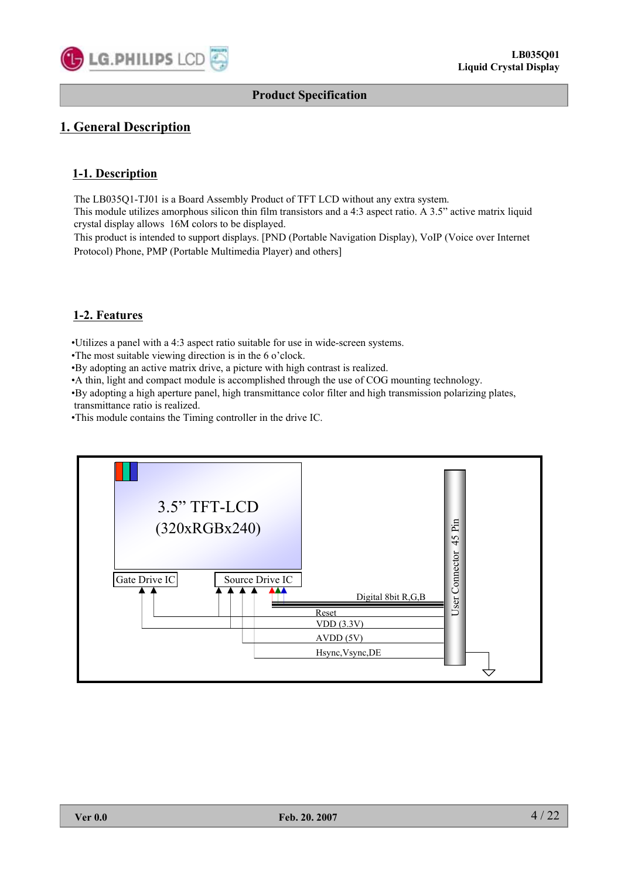

# **1. General Description**

### **1-1. Description**

The LB035Q1-TJ01 is a Board Assembly Product of TFT LCD without any extra system.

This module utilizes amorphous silicon thin film transistors and a 4:3 aspect ratio. A 3.5" active matrix liquid crystal display allows 16M colors to be displayed.

This product is intended to support displays. [PND (Portable Navigation Display), VoIP (Voice over Internet Protocol) Phone, PMP (Portable Multimedia Player) and others]

### **1-2. Features**

•Utilizes a panel with a 4:3 aspect ratio suitable for use in wide-screen systems.

•The most suitable viewing direction is in the 6 o'clock.

•By adopting an active matrix drive, a picture with high contrast is realized.

•A thin, light and compact module is accomplished through the use of COG mounting technology.

•By adopting a high aperture panel, high transmittance color filter and high transmission polarizing plates, transmittance ratio is realized.

•This module contains the Timing controller in the drive IC.

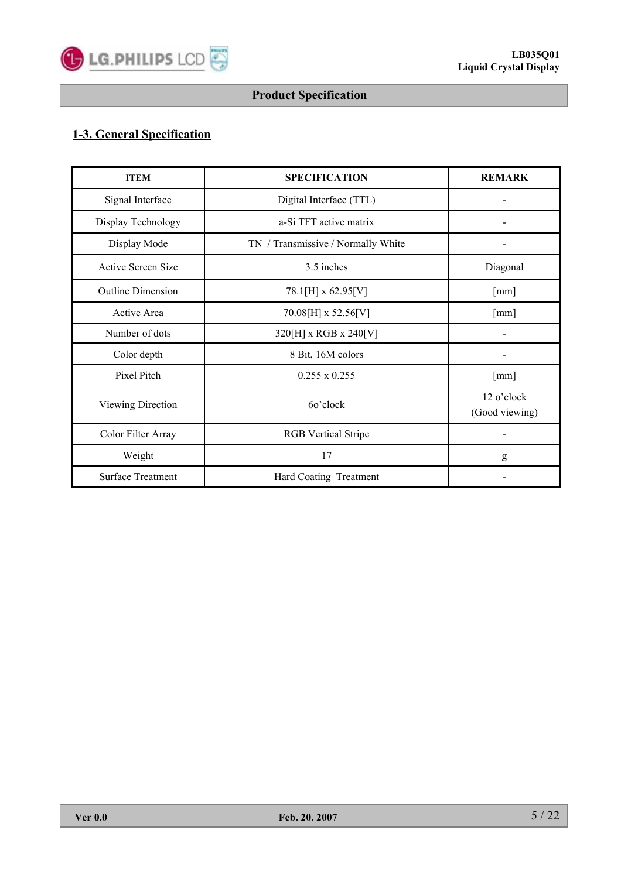

# **1-3. General Specification**

| <b>ITEM</b>              | <b>SPECIFICATION</b>               | <b>REMARK</b>                |
|--------------------------|------------------------------------|------------------------------|
| Signal Interface         | Digital Interface (TTL)            |                              |
| Display Technology       | a-Si TFT active matrix             |                              |
| Display Mode             | TN / Transmissive / Normally White |                              |
| Active Screen Size       | 3.5 inches                         | Diagonal                     |
| <b>Outline Dimension</b> | 78.1[H] x 62.95[V]                 | [mm]                         |
| Active Area              | 70.08[H] x 52.56[V]                | [mm]                         |
| Number of dots           | 320[H] x RGB x 240[V]              |                              |
| Color depth              | 8 Bit, 16M colors                  |                              |
| Pixel Pitch              | $0.255 \times 0.255$               | [mm]                         |
| Viewing Direction        | 60'clock                           | 12 o'clock<br>(Good viewing) |
| Color Filter Array       | <b>RGB</b> Vertical Stripe         |                              |
| Weight                   | 17                                 | g                            |
| <b>Surface Treatment</b> | Hard Coating Treatment             |                              |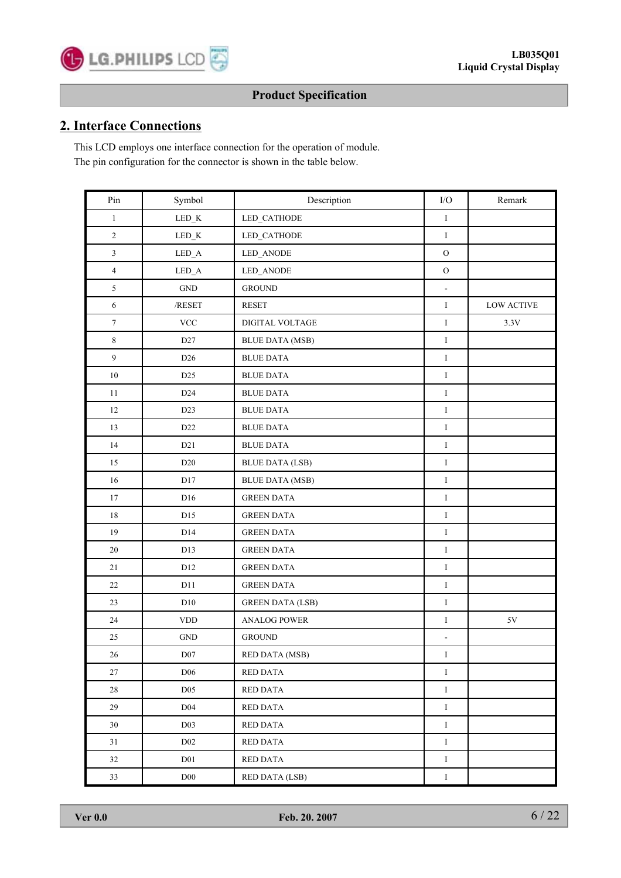# **2. Interface Connections**

This LCD employs one interface connection for the operation of module. The pin configuration for the connector is shown in the table below.

| $\mathop{\mathrm{Pin}}$ | Symbol                      | Description             | $\rm I/O$      | Remark            |
|-------------------------|-----------------------------|-------------------------|----------------|-------------------|
| $\mathbf{1}$            | $\operatorname{LED\_K}$     | LED_CATHODE             | $\rm I$        |                   |
| $\overline{c}$          | $LED_K$                     | LED_CATHODE             | $\bf{I}$       |                   |
| $\mathfrak{Z}$          | $\operatorname{LED\_A}$     | LED_ANODE               | $\rm{O}$       |                   |
| $\overline{4}$          | $\operatorname{LED\_A}$     | LED_ANODE               | $\rm{O}$       |                   |
| $\sqrt{5}$              | $\operatorname{GND}$        | <b>GROUND</b>           | $\Box$         |                   |
| $\sqrt{6}$              | $/\mbox{RESET}$             | <b>RESET</b>            | $\rm I$        | <b>LOW ACTIVE</b> |
| $\boldsymbol{7}$        | <b>VCC</b>                  | DIGITAL VOLTAGE         | $\rm I$        | $3.3V$            |
| $\,8\,$                 | D <sub>27</sub>             | <b>BLUE DATA (MSB)</b>  | $\mathbf I$    |                   |
| $\overline{9}$          | D <sub>26</sub>             | <b>BLUE DATA</b>        | $\mathbf I$    |                   |
| $10\,$                  | D <sub>25</sub>             | <b>BLUE DATA</b>        | $\mathbf I$    |                   |
| 11                      | D <sub>24</sub>             | <b>BLUE DATA</b>        | $\rm I$        |                   |
| 12                      | D23                         | <b>BLUE DATA</b>        | $\bf I$        |                   |
| 13                      | D22                         | <b>BLUE DATA</b>        | $\bf I$        |                   |
| 14                      | D21                         | <b>BLUE DATA</b>        | $\bf I$        |                   |
| $15\,$                  | $\rm{D}20$                  | <b>BLUE DATA (LSB)</b>  | $\mathbf I$    |                   |
| 16                      | D17                         | <b>BLUE DATA (MSB)</b>  | $\rm I$        |                   |
| 17                      | D16                         | <b>GREEN DATA</b>       | $\rm I$        |                   |
| $18\,$                  | D15                         | <b>GREEN DATA</b>       | $\bf I$        |                   |
| 19                      | D14                         | <b>GREEN DATA</b>       | $\bf I$        |                   |
| 20                      | D13                         | <b>GREEN DATA</b>       | $\mathbf I$    |                   |
| 21                      | D <sub>12</sub>             | <b>GREEN DATA</b>       | $\rm I$        |                   |
| 22                      | D11                         | <b>GREEN DATA</b>       | $\rm I$        |                   |
| 23                      | D10                         | <b>GREEN DATA (LSB)</b> | $\bf I$        |                   |
| $24\,$                  | $\ensuremath{\mathrm{VDD}}$ | <b>ANALOG POWER</b>     | $\rm I$        | $5\mathrm{V}$     |
| $25\,$                  | <b>GND</b>                  | <b>GROUND</b>           | $\blacksquare$ |                   |
| $26\,$                  | ${\rm D}07$                 | <b>RED DATA (MSB)</b>   | $\bf{I}$       |                   |
| 27                      | D <sub>06</sub>             | RED DATA                | $\rm I$        |                   |
| 28                      | D <sub>05</sub>             | <b>RED DATA</b>         | $\rm I$        |                   |
| 29                      | D <sub>04</sub>             | RED DATA                | $\rm I$        |                   |
| 30                      | D <sub>03</sub>             | <b>RED DATA</b>         | $\rm I$        |                   |
| 31                      | $D02$                       | <b>RED DATA</b>         | $\rm I$        |                   |
| 32                      | D <sub>01</sub>             | <b>RED DATA</b>         | $\rm I$        |                   |
| 33                      | $\rm D00$                   | <b>RED DATA (LSB)</b>   | $\rm I$        |                   |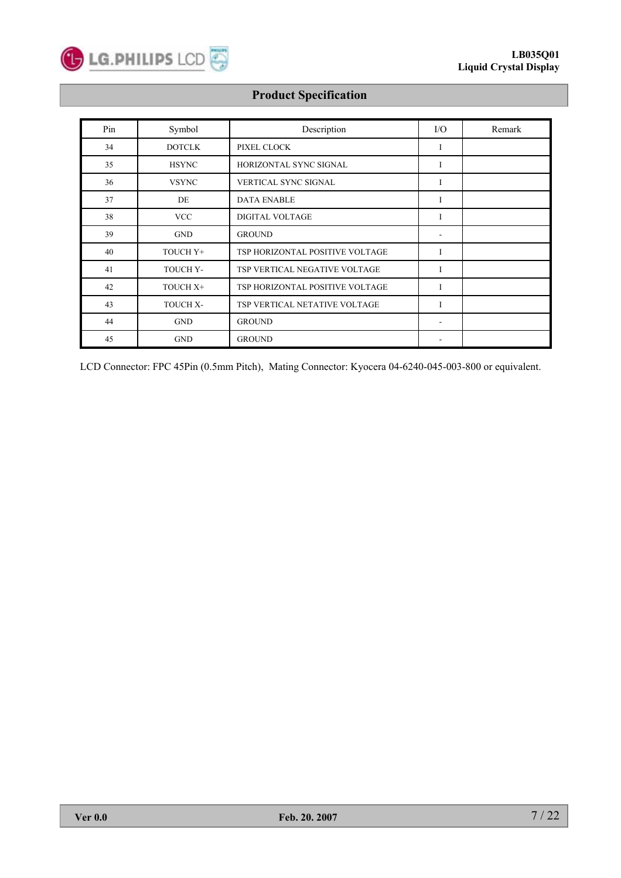

| Pin | Symbol        | Description                     | $\rm LO$                     | Remark |
|-----|---------------|---------------------------------|------------------------------|--------|
| 34  | <b>DOTCLK</b> | PIXEL CLOCK                     | I                            |        |
| 35  | <b>HSYNC</b>  | HORIZONTAL SYNC SIGNAL          | I                            |        |
| 36  | <b>VSYNC</b>  | VERTICAL SYNC SIGNAL            | I                            |        |
| 37  | DE            | <b>DATA ENABLE</b>              | I                            |        |
| 38  | <b>VCC</b>    | <b>DIGITAL VOLTAGE</b>          | I                            |        |
| 39  | <b>GND</b>    | <b>GROUND</b>                   | ۰                            |        |
| 40  | TOUCH Y+      | TSP HORIZONTAL POSITIVE VOLTAGE | I                            |        |
| 41  | TOUCH Y-      | TSP VERTICAL NEGATIVE VOLTAGE   | I                            |        |
| 42  | TOUCH X+      | TSP HORIZONTAL POSITIVE VOLTAGE | I                            |        |
| 43  | TOUCH X-      | TSP VERTICAL NETATIVE VOLTAGE   | I                            |        |
| 44  | <b>GND</b>    | <b>GROUND</b>                   | $\qquad \qquad \blacksquare$ |        |
| 45  | <b>GND</b>    | <b>GROUND</b>                   |                              |        |

LCD Connector: FPC 45Pin (0.5mm Pitch), Mating Connector: Kyocera 04-6240-045-003-800 or equivalent.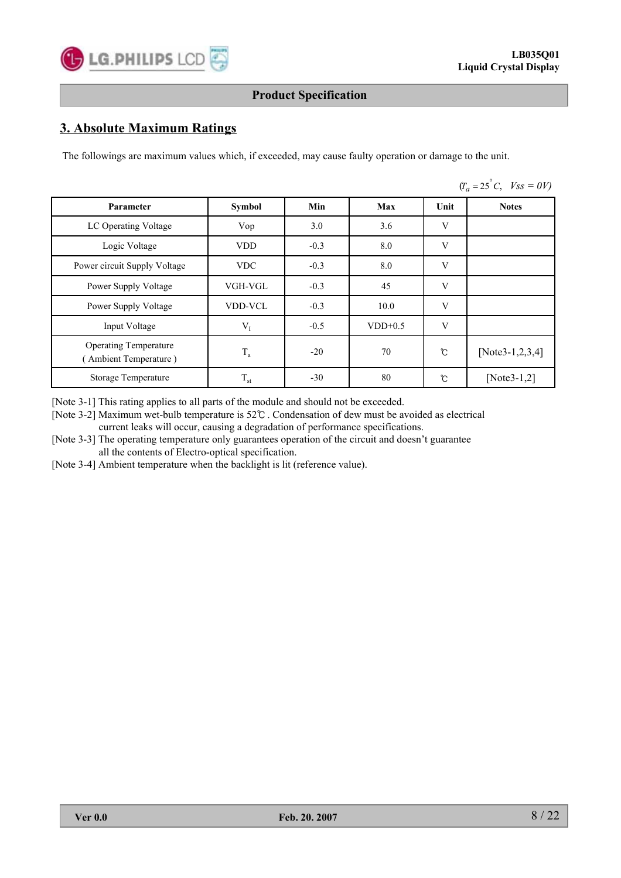# **3. Absolute Maximum Ratings**

The followings are maximum values which, if exceeded, may cause faulty operation or damage to the unit.

|                                                       |                |        |           |      | $(T_a = 25^{\circ}C, \quad V_{SS} = 0V)$ |
|-------------------------------------------------------|----------------|--------|-----------|------|------------------------------------------|
| Parameter                                             | <b>Symbol</b>  | Min    | Max       | Unit | <b>Notes</b>                             |
| LC Operating Voltage                                  | Vop            | 3.0    | 3.6       | V    |                                          |
| Logic Voltage                                         | <b>VDD</b>     | $-0.3$ | 8.0       | V    |                                          |
| Power circuit Supply Voltage                          | <b>VDC</b>     | $-0.3$ | 8.0       | V    |                                          |
| Power Supply Voltage                                  | VGH-VGL        | $-0.3$ | 45        | V    |                                          |
| Power Supply Voltage                                  | <b>VDD-VCL</b> | $-0.3$ | 10.0      | V    |                                          |
| Input Voltage                                         | $V_I$          | $-0.5$ | $VDD+0.5$ | V    |                                          |
| <b>Operating Temperature</b><br>(Ambient Temperature) | $\rm T_a$      | $-20$  | 70        | ℃    | [Note3-1,2,3,4]                          |
| Storage Temperature                                   | $\rm T_{st}$   | $-30$  | 80        | ℃    | [ $Note3-1,2$ ]                          |

[Note 3-1] This rating applies to all parts of the module and should not be exceeded.

[Note 3-2] Maximum wet-bulb temperature is 52℃ . Condensation of dew must be avoided as electrical current leaks will occur, causing a degradation of performance specifications.

[Note 3-3] The operating temperature only guarantees operation of the circuit and doesn't guarantee all the contents of Electro-optical specification.

[Note 3-4] Ambient temperature when the backlight is lit (reference value).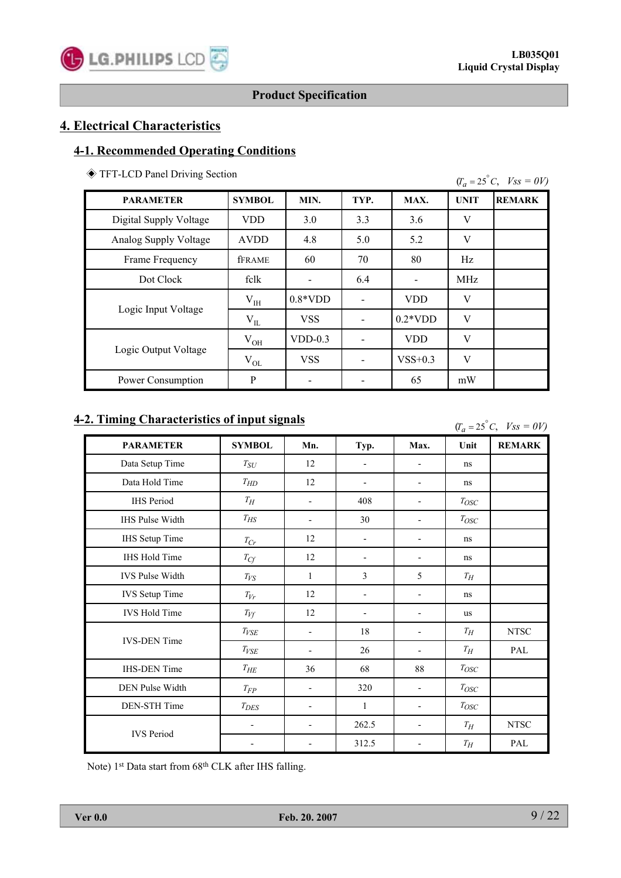# **4. Electrical Characteristics**

# **4-1. Recommended Operating Conditions**

◈ TFT-LCD Panel Driving Section

| $(T_a = 25^{\circ}C, \quad V_{SS} = 0V)$ |  |  |
|------------------------------------------|--|--|
|                                          |  |  |

| <b>PARAMETER</b>       | <b>SYMBOL</b> | MIN.       | TYP. | MAX.       | <b>UNIT</b> | <b>REMARK</b> |
|------------------------|---------------|------------|------|------------|-------------|---------------|
| Digital Supply Voltage | <b>VDD</b>    | 3.0        | 3.3  | 3.6        | V           |               |
| Analog Supply Voltage  | <b>AVDD</b>   | 4.8        | 5.0  | 5.2        | V           |               |
| Frame Frequency        | <b>fFRAME</b> | 60         | 70   | 80         | Hz          |               |
| Dot Clock              | fclk          |            | 6.4  |            | <b>MHz</b>  |               |
| Logic Input Voltage    | $V_{IH}$      | $0.8*VDD$  |      | <b>VDD</b> | V           |               |
|                        | $V_{IL}$      | <b>VSS</b> |      | $0.2*VDD$  | V           |               |
| Logic Output Voltage   | $\rm V_{OH}$  | $VDD-0.3$  |      | <b>VDD</b> | V           |               |
|                        | $V_{OL}$      | <b>VSS</b> |      | $VSS+0.3$  | V           |               |
| Power Consumption      | P             |            |      | 65         | mW          |               |

# **4-2. Timing Characteristics of input signals**

 $(T_a = 25^\circ C, \text{ Vss} = 0V)$ 

| <b>PARAMETER</b>       | <b>SYMBOL</b>                                      | Mn.                      | Typ.                     | Max.                     | Unit                                      | <b>REMARK</b> |
|------------------------|----------------------------------------------------|--------------------------|--------------------------|--------------------------|-------------------------------------------|---------------|
| Data Setup Time        | $T_{\hspace{-.1em}S\hspace{-.1em}U\hspace{-.1em}}$ | 12                       |                          |                          | ns                                        |               |
| Data Hold Time         | $T_{HD}$                                           | 12                       |                          |                          | ns                                        |               |
| <b>IHS</b> Period      | $T_H\,$                                            | $\overline{\phantom{0}}$ | 408                      |                          | $T_{OSC}$                                 |               |
| <b>IHS Pulse Width</b> | $T_{\!H\!S}$                                       | $\overline{\phantom{0}}$ | 30                       |                          | $T_{OSC}$                                 |               |
| <b>IHS</b> Setup Time  | $T_{\mathbb{C} r}$                                 | 12                       | $\overline{\phantom{m}}$ |                          | ns                                        |               |
| IHS Hold Time          | $T_{\small{C\!f}}$                                 | 12                       |                          |                          | ns                                        |               |
| <b>IVS Pulse Width</b> | $T_{V\!S}$                                         | 1                        | 3                        | 5                        | $T_{\hspace{-0.1em}H}$                    |               |
| <b>IVS</b> Setup Time  | $T_{Vr}$                                           | 12                       |                          |                          | ns                                        |               |
| <b>IVS Hold Time</b>   | $T_{Vf}$                                           | 12                       | $\overline{\phantom{a}}$ | $\overline{\phantom{0}}$ | <b>us</b>                                 |               |
|                        | $T_{VSE}$                                          | $\overline{\phantom{0}}$ | 18                       |                          | $T_H\,$                                   | ${\rm NTSC}$  |
| <b>IVS-DEN</b> Time    | $T_{VSE}$                                          |                          | 26                       |                          | $T_{\hspace{-0.1em}H}$                    | PAL           |
| <b>IHS-DEN</b> Time    | $T_{\it HE}$                                       | 36                       | 68                       | 88                       | $T_{\mathcal{O} \mathcal{S} \mathcal{C}}$ |               |
| DEN Pulse Width        | $T_{FP}$                                           | $\overline{\phantom{0}}$ | 320                      | ٠                        | $T_{OSC}$                                 |               |
| DEN-STH Time           | $T_{DES}$                                          | -                        | $\mathbf{1}$             |                          | $T_{OSC}$                                 |               |
|                        | $\overline{\phantom{0}}$                           | $\overline{\phantom{0}}$ | 262.5                    |                          | $T_H\,$                                   | ${\rm NTSC}$  |
| <b>IVS Period</b>      | $\overline{\phantom{0}}$                           |                          | 312.5                    |                          | $T_{\hspace{-0.1em}H}$                    | PAL           |

Note) 1<sup>st</sup> Data start from 68<sup>th</sup> CLK after IHS falling.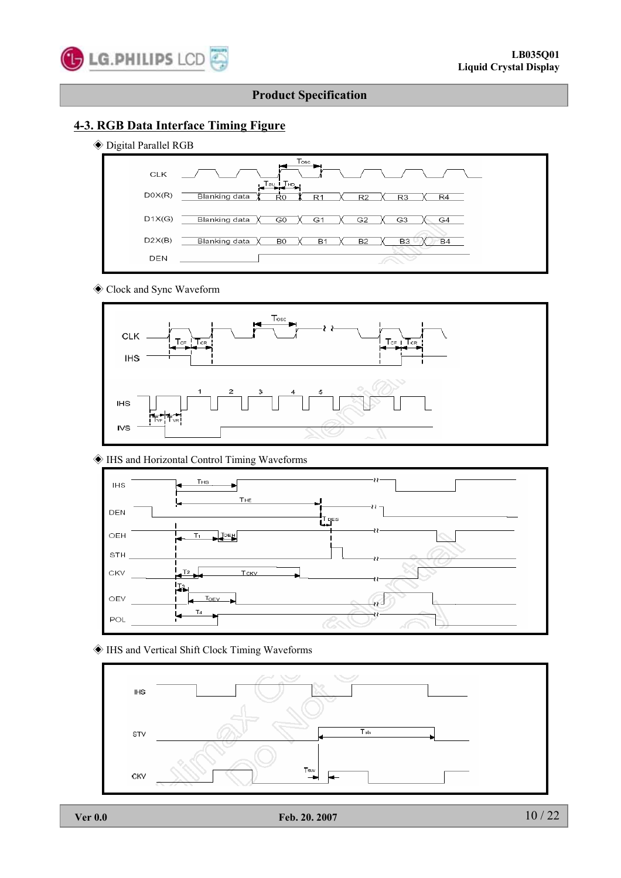

# **4-3. RGB Data Interface Timing Figure**

◈ Digital Parallel RGB



#### ◈ Clock and Sync Waveform



### ◈ IHS and Horizontal Control Timing Waveforms



◈ IHS and Vertical Shift Clock Timing Waveforms

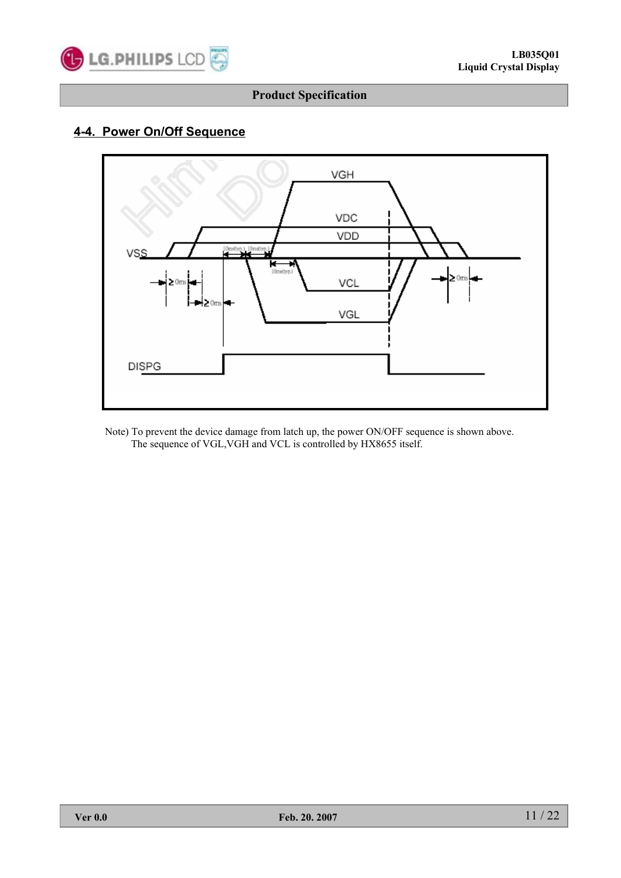

# **4-4. Power On/Off Sequence**



Note) To prevent the device damage from latch up, the power ON/OFF sequence is shown above. The sequence of VGL,VGH and VCL is controlled by HX8655 itself.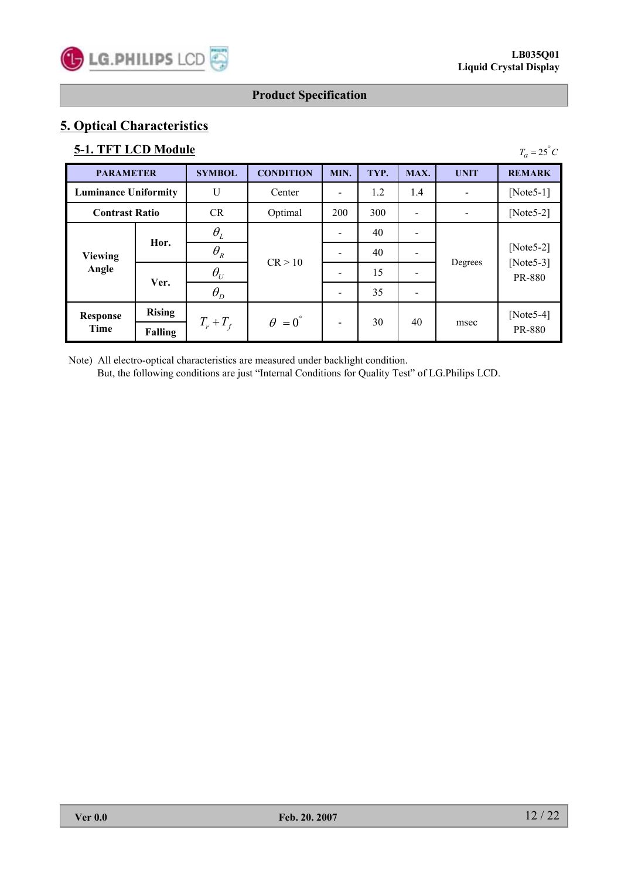# **5. Optical Characteristics**

# **5-1. TFT LCD Module**

| <b>5-1. TFT LCD Module</b><br>$T_a = 25^{\circ}C$ |                       |                                 |                        |                          |      |      |             |                                              |  |  |  |  |
|---------------------------------------------------|-----------------------|---------------------------------|------------------------|--------------------------|------|------|-------------|----------------------------------------------|--|--|--|--|
| <b>PARAMETER</b>                                  |                       | <b>SYMBOL</b>                   | <b>CONDITION</b>       | MIN.                     | TYP. | MAX. | <b>UNIT</b> | <b>REMARK</b>                                |  |  |  |  |
| <b>Luminance Uniformity</b>                       |                       | U                               | Center                 |                          | 1.2  | 1.4  |             | [Note $5-1$ ]                                |  |  |  |  |
|                                                   | <b>Contrast Ratio</b> |                                 | Optimal                | 200                      | 300  |      |             | [Note $5-2$ ]                                |  |  |  |  |
|                                                   | Hor.                  | $\theta_L$                      |                        |                          | 40   |      |             |                                              |  |  |  |  |
| <b>Viewing</b>                                    |                       | $\theta_{\scriptscriptstyle R}$ | CR > 10                |                          | 40   |      |             | [Note 5-2]<br>[Note $5-3$ ]<br><b>PR-880</b> |  |  |  |  |
| Angle                                             | Ver.                  | $\theta_U$                      |                        |                          | 15   |      | Degrees     |                                              |  |  |  |  |
|                                                   |                       | $\theta_{D}$                    |                        |                          | 35   |      |             |                                              |  |  |  |  |
| <b>Response</b>                                   | <b>Rising</b>         |                                 | $\theta = 0^{\degree}$ |                          | 30   | 40   |             | [Note 5-4]                                   |  |  |  |  |
| Time                                              | <b>Falling</b>        | $T_r + T_f$                     |                        | $\overline{\phantom{a}}$ |      |      | msec        | <b>PR-880</b>                                |  |  |  |  |

Note) All electro-optical characteristics are measured under backlight condition. But, the following conditions are just "Internal Conditions for Quality Test" of LG.Philips LCD.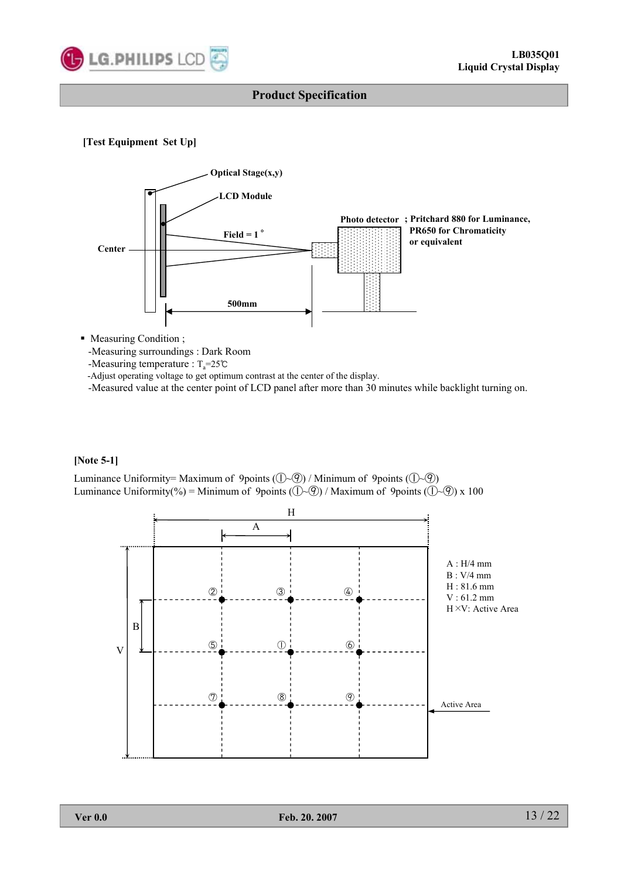

#### **[Test Equipment Set Up]**



• Measuring Condition ;

-Measuring surroundings : Dark Room

-Measuring temperature :  $T_a = 25^\circ \text{C}$ 

-Adjust operating voltage to get optimum contrast at the center of the display.

-Measured value at the center point of LCD panel after more than 30 minutes while backlight turning on.

#### **[Note 5-1]**

Luminance Uniformity= Maximum of 9points  $(\bigcirc \neg \circledcirc)$  / Minimum of 9points  $(\bigcirc \neg \circledcirc)$ Luminance Uniformity(%) = Minimum of 9points ( $(\mathbb{D} \sim \mathbb{Q})$  / Maximum of 9points ( $(\mathbb{D} \sim \mathbb{Q})$ ) x 100

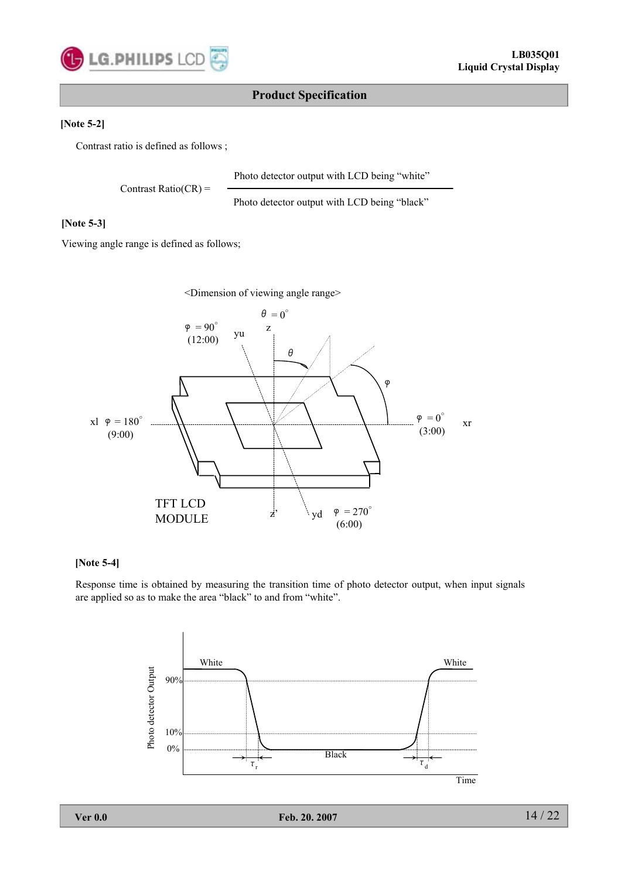

#### **[Note 5-2]**

Contrast ratio is defined as follows ;

Photo detector output with LCD being "white"

Contrast Ratio( $CR$ ) =

Photo detector output with LCD being "black"

#### **[Note 5-3]**

Viewing angle range is defined as follows;

<Dimension of viewing angle range>



#### **[Note 5-4]**

Response time is obtained by measuring the transition time of photo detector output, when input signals are applied so as to make the area "black" to and from "white".

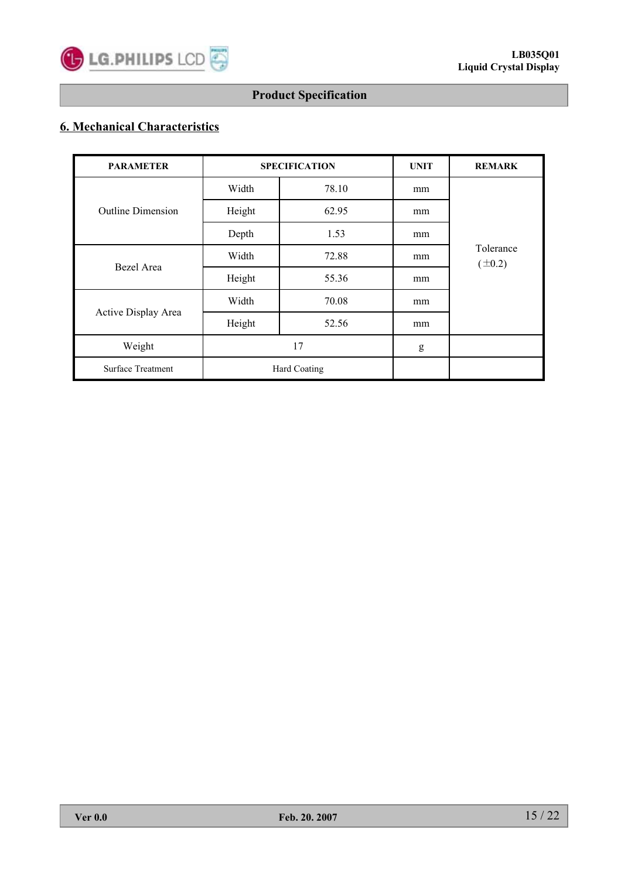

# **6. Mechanical Characteristics**

| <b>PARAMETER</b>         |        | <b>SPECIFICATION</b> | <b>UNIT</b> | <b>REMARK</b>            |  |  |  |
|--------------------------|--------|----------------------|-------------|--------------------------|--|--|--|
|                          | Width  | 78.10                | mm          |                          |  |  |  |
| <b>Outline Dimension</b> | Height | 62.95                | mm          |                          |  |  |  |
|                          | Depth  | 1.53                 | mm          |                          |  |  |  |
|                          | Width  | 72.88                | mm          | Tolerance<br>$(\pm 0.2)$ |  |  |  |
| Bezel Area               | Height | 55.36                | mm          |                          |  |  |  |
|                          | Width  | 70.08                | mm          |                          |  |  |  |
| Active Display Area      | Height | 52.56                | mm          |                          |  |  |  |
| Weight                   |        | 17                   | g           |                          |  |  |  |
| <b>Surface Treatment</b> |        | Hard Coating         |             |                          |  |  |  |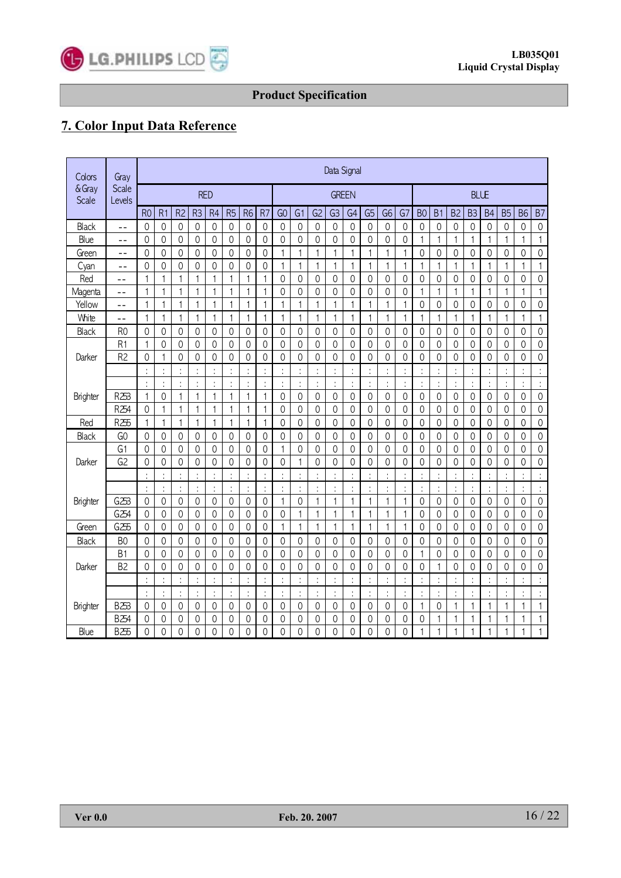

# **7. Color Input Data Reference**

| Colors          | Gray            | Data Signal         |                      |                     |                |                     |                     |                |                |                |                     |                |                      |                |                |                     |                |                      |                |                |                     |                     |                |                |                     |
|-----------------|-----------------|---------------------|----------------------|---------------------|----------------|---------------------|---------------------|----------------|----------------|----------------|---------------------|----------------|----------------------|----------------|----------------|---------------------|----------------|----------------------|----------------|----------------|---------------------|---------------------|----------------|----------------|---------------------|
| & Gray<br>Scale | Scale<br>Levels | <b>RED</b>          |                      |                     |                |                     |                     |                | <b>GREEN</b>   |                |                     |                |                      |                | <b>BLLE</b>    |                     |                |                      |                |                |                     |                     |                |                |                     |
|                 |                 | R <sub>0</sub>      | R <sub>1</sub>       | R <sub>2</sub>      | R <sub>3</sub> | R <sub>4</sub>      | R <sub>5</sub>      | R <sub>6</sub> | R <sub>7</sub> | G <sub>O</sub> | G <sub>1</sub>      | G <sub>2</sub> | G <sub>3</sub>       | G <sub>4</sub> | G <sub>5</sub> | G <sub>6</sub>      | G7             | B <sub>0</sub>       | B <sub>1</sub> | B <sub>2</sub> | B <sub>3</sub>      | B <sub>4</sub>      | <b>B5</b>      | <b>B6</b>      | <b>B7</b>           |
| <b>Black</b>    | $- -$           | $\mathbf 0$         | $\overline{0}$       | 0                   | $\mathbf 0$    | 0                   | 0                   | $\Omega$       | 0              | $\mathbf 0$    | 0                   | 0              | 0                    | 0              | 0              | 0                   | 0              | 0                    | 0              | 0              | 0                   | 0                   | 0              | 0              | 0                   |
| Blue            | $\sim$ $\sim$   | 0                   | $\Omega$             | 0                   | 0              | 0                   | 0                   | 0              | 0              | 0              | 0                   | 0              | 0                    | 0              | 0              | 0                   | 0              | 1                    | 1              | 1              | 1                   | 1                   | 1              | 1              | 1                   |
| Green           | $- -$           | $\Omega$            | $\Omega$             | $\overline{0}$      | $\theta$       | 0                   | 0                   | $\Omega$       | $\Omega$       | $\mathbf{1}$   | 1                   | 1              | 1                    | 1              | $\mathbf{1}$   | 1                   | 1              | $\Omega$             | 0              | $\Omega$       | 0                   | 0                   | 0              | 0              | $\mathbf 0$         |
| Cyan            | $- -$           | 0                   | $\mathbf{0}$         | 0                   | 0              | 0                   | 0                   | 0              | 0              | 1              | 1                   | $\mathbf{1}$   | 1                    | 1              | $\mathbf{1}$   | $\mathbf{1}$        | 1              | $\mathbf{1}$         | 1              | $\mathbf{1}$   | $\mathbf{1}$        | 1                   | $\mathbf{1}$   | $\mathbf{1}$   | 1                   |
| Red             | $-$             | $\mathbf{1}$        | $\mathbf{1}$         | 1                   | $\mathbf{1}$   | 1                   | 1                   | 1              | 1              | $\mathbf 0$    | 0                   | $\mathbf 0$    | $\mathsf{O}\xspace$  | 0              | $\mathbf 0$    | $\mathsf{O}\xspace$ | $\mathbf 0$    | $\mathbf 0$          | 0              | $\mathbf 0$    | $\mathsf{O}\xspace$ | $\mathsf{O}\xspace$ | 0              | 0              | $\mathsf{O}\xspace$ |
| Magenta         | $ -$            | $\mathbf{1}$        | $\mathbf{1}$         | 1                   | 1              | 1                   | 1                   | 1              | 1              | $\mathbf 0$    | 0                   | 0              | 0                    | 0              | $\mathbf 0$    | $\mathbf 0$         | 0              | $\mathbf{1}$         | 1              | 1              | $\mathbf{1}$        | 1                   | 1              | $\mathbf{1}$   | 1                   |
| Yellow          | --              | $\mathbf{1}$        | $\mathbf{1}$         | 1                   | 1              | 1                   | 1                   | 1              | 1              | 1              | 1                   | 1              | 1                    | 1              | 1              | $\mathbf{1}$        | 1              | $\mathbf 0$          | 0              | 0              | 0                   | 0                   | 0              | 0              | 0                   |
| White           | --              | $\mathbf{1}$        | $\mathbf{1}$         | 1                   | 1              | 1                   | 1                   | $\mathbf{1}$   | $\mathbf{1}$   | 1              | 1                   | 1              | 1                    | 1              | $\mathbf{1}$   | 1                   | 1              | $\mathbf{1}$         | $\mathbf{1}$   | $\mathbf{1}$   | $\mathbf{1}$        | 1                   | $\mathbf{1}$   | $\mathbf{1}$   | $\mathbf{1}$        |
| Black           | R <sub>0</sub>  | $\mathbf 0$         | $\mathbf{0}$         | 0                   | $\mathbf 0$    | 0                   | $\mathbf 0$         | $\mathbf 0$    | $\mathbf 0$    | $\mathbf 0$    | 0                   | 0              | $\mathbf 0$          | $\mathbf 0$    | 0              | 0                   | $\mathbf{0}$   | $\mathbf 0$          | $\mathbf 0$    | 0              | $\mathbf 0$         | $\mathbf 0$         | $\Omega$       | 0              | $\mathbf 0$         |
|                 | R <sub>1</sub>  | $\mathbf{1}$        | $\mathbf{0}$         | 0                   | $\mathbf 0$    | 0                   | 0                   | 0              | $\mathbf 0$    | $\mathbf 0$    | 0                   | 0              | 0                    | $\mathbf 0$    | 0              | 0                   | $\mathbf 0$    | $\mathbf 0$          | 0              | 0              | 0                   | $\mathbf 0$         | 0              | 0              | 0                   |
| Darker          | R <sub>2</sub>  | $\mathbf{0}$        | 1                    | 0                   | $\mathbf 0$    | 0                   | 0                   | 0              | $\mathbf 0$    | $\mathbf 0$    | 0                   | 0              | 0                    | 0              | 0              | 0                   | 0              | 0                    | 0              | 0              | 0                   | $\mathbf 0$         | 0              | 0              | 0                   |
|                 |                 |                     | $\ddot{\cdot}$       |                     |                | $\vdots$            |                     |                |                |                |                     | $\ddot{\cdot}$ |                      |                | ÷              |                     |                | ÷                    |                |                | $\ddot{\cdot}$      |                     |                |                |                     |
|                 |                 | $\ddot{\phi}$       | ÷                    |                     |                | $\ddot{\cdot}$      |                     | $\ddot{\cdot}$ |                |                | $\ddot{\cdot}$      | ÷              |                      |                | ÷              | ÷                   |                | ÷                    |                | $\vdots$       | ÷                   |                     | $\ddot{\cdot}$ | ÷              |                     |
| Brighter        | R253            | $\mathbf{1}$        | $\mathbf 0$          | 1                   | $\mathbf{1}$   | $\mathbf{1}$        | 1                   | $\mathbf{1}$   | 1              | $\mathbf 0$    | $\mathsf{O}\xspace$ | $\mathbf 0$    | $\mathsf{O}\xspace$  | $\mathbf 0$    | $\mathbf 0$    | 0                   | $\overline{0}$ | $\mathsf{O}\xspace$  | 0              | $\mathbf 0$    | $\mathsf{O}\xspace$ | $\mathsf{O}\xspace$ | $\mathbf 0$    | 0              | $\mathbf 0$         |
|                 | R254            | $\mathbf 0$         | $\mathbf{1}$         | 1                   | 1              | 1                   | 1                   | $\mathbf{1}$   | 1              | $\mathbf 0$    | 0                   | 0              | 0                    | $\mathbf 0$    | $\mathbf 0$    | 0                   | 0              | $\mathbf 0$          | 0              | 0              | $\mathbf 0$         | 0                   | 0              | 0              | $\mathbf 0$         |
| Red             | R255            | 1                   | 1                    | 1                   | 1              | 1                   | 1                   | 1              | 1              | 0              | 0                   | 0              | 0                    | 0              | 0              | 0                   | 0              | 0                    | 0              | 0              | 0                   | 0                   | 0              | 0              | 0                   |
| Black           | G <sub>0</sub>  | $\mathbf 0$         | $\mathbf{0}$         | 0                   | 0              | 0                   | 0                   | 0              | 0              | 0              | 0                   | 0              | 0                    | 0              | 0              | 0                   | 0              | $\mathbf 0$          | 0              | 0              | 0                   | 0                   | 0              | 0              | 0                   |
|                 | G1              | $\mathbf 0$         | $\mathbf 0$          | 0                   | $\mathbf 0$    | 0                   | $\mathbf 0$         | 0              | 0              | $\mathbf{1}$   | 0                   | 0              | 0                    | 0              | 0              | 0                   | 0              | $\mathbf 0$          | 0              | 0              | 0                   | $\mathbf 0$         | 0              | 0              | 0                   |
| Darker          | G <sub>2</sub>  | $\mathbf 0$         | 0                    | 0                   | 0              | 0                   | 0                   | 0              | 0              | 0              | 1                   | 0              | 0                    | 0              | 0              | 0                   | 0              | $\mathbf 0$          | 0              | 0              | 0                   | 0                   | 0              | 0              | 0                   |
|                 |                 |                     |                      |                     |                |                     |                     |                |                |                | $\ddot{\cdot}$      |                |                      |                | $\ddot{\cdot}$ |                     |                | ÷                    |                |                |                     |                     |                | $\ddot{\cdot}$ | $\vdots$            |
|                 |                 | $\ddot{\cdot}$      | ÷                    | ÷                   | $\ddot{\cdot}$ | $\ddot{\cdot}$      | $\ddot{\cdot}$      | $\ddot{\cdot}$ | t              | $\ddot{\cdot}$ | :                   | t              | $\ddot{\phantom{0}}$ | $\vdots$       | ÷              | $\ddot{\cdot}$      |                | $\ddot{\phantom{a}}$ | t              | $\ddot{\cdot}$ | $\ddot{\cdot}$      | $\ddot{\cdot}$      | $\ddot{\cdot}$ | $\ddot{\cdot}$ | $\ddot{\cdot}$      |
| Brighter        | G253            | $\mathbf 0$         | $\Omega$             | $\mathbf 0$         | $\mathbf 0$    | 0                   | $\mathbf 0$         | 0              | $\mathbf 0$    | 1              | $\overline{0}$      | $\mathbf{1}$   | $\mathbf{1}$         | 1              | $\mathbf{1}$   | 1                   | 1              | $\Omega$             | 0              | 0              | 0                   | $\mathsf{O}\xspace$ | 0              | 0              | 0                   |
|                 | G254            | $\mathsf{O}\xspace$ | $\Omega$             | $\mathsf{O}\xspace$ | $\theta$       | 0                   | $\mathsf{O}\xspace$ | 0              | $\Omega$       | 0              | 1                   | 1              | 1                    | 1              | $\mathbf{1}$   | $\mathbf{1}$        | 1              | $\Omega$             | 0              | $\Omega$       | 0                   | 0                   | $\Omega$       | 0              | 0                   |
| Green           | G255            | $\mathbf 0$         | $\overline{0}$       | $\mathbf 0$         | $\mathbf 0$    | 0                   | $\mathbf 0$         | 0              | $\mathbf 0$    | $\mathbf{1}$   | 1                   | $\mathbf{1}$   | 1                    | 1              | 1              | 1                   | 1              | $\Omega$             | 0              | 0              | 0                   | $\mathsf{O}\xspace$ | 0              | 0              | $\mathbf 0$         |
| Black           | B <sub>0</sub>  | $\mathbf 0$         | $\Omega$             | 0                   | $\mathbf 0$    | 0                   | 0                   | $\mathbf 0$    | $\Omega$       | $\mathbf 0$    | 0                   | 0              | 0                    | 0              | 0              | 0                   | $\mathbf 0$    | $\Omega$             | 0              | 0              | 0                   | $\mathbf 0$         | 0              | 0              | $\mathbf 0$         |
|                 | B1              | $\Omega$            | 0                    | 0                   | $\mathbf 0$    | $\mathsf{O}\xspace$ | $\Omega$            | 0              | $\mathbf 0$    | $\Omega$       | 0                   | $\mathbf 0$    | 0                    | 0              | $\overline{0}$ | $\Omega$            | 0              | $\mathbf{1}$         | 0              | $\mathbf 0$    | $\mathsf{O}\xspace$ | 0                   | 0              | $\overline{0}$ | 0                   |
| Darker          | B <sub>2</sub>  | $\mathbf{0}$        | $\mathbf 0$          | 0                   | $\mathbf 0$    | 0                   | $\mathbf 0$         | 0              | $\mathbf{0}$   | $\mathbf 0$    | 0                   | 0              | 0                    | 0              | $\overline{0}$ | 0                   | 0              | $\mathbf 0$          | 1              | $\overline{0}$ | 0                   | $\mathbf 0$         | $\mathbf 0$    | 0              | $\mathbf 0$         |
|                 |                 | $\ddot{\cdot}$      | $\ddot{\phantom{a}}$ | $\ddot{\cdot}$      | $\ddot{\cdot}$ | $\vdots$            |                     | $\ddot{\cdot}$ | t              | $\ddot{\cdot}$ | $\vdots$            | $\ddot{\cdot}$ | $\ddot{\cdot}$       | $\vdots$       | $\vdots$       | $\vdots$            |                | $\ddot{\phantom{0}}$ | $\ddot{\cdot}$ | t              | $\ddot{\cdot}$      | $\vdots$            | $\ddot{\cdot}$ | $\vdots$       | $\ddot{\cdot}$      |
|                 |                 | $\ddot{\cdot}$      | $\ddot{\cdot}$       | ÷                   | $\ddot{\cdot}$ | ÷                   | $\ddot{\cdot}$      | $\ddot{\cdot}$ | ÷              | $\ddot{\cdot}$ | $\ddot{\cdot}$      | ÷              | ÷                    | $\ddot{\cdot}$ | $\ddot{\cdot}$ | $\ddot{\cdot}$      | $\ddot{\cdot}$ | $\ddot{\cdot}$       | $\ddot{\cdot}$ | $\vdots$       | $\ddot{\cdot}$      | $\ddot{\cdot}$      | $\ddot{\cdot}$ | ÷              | $\ddot{\cdot}$      |
| <b>Brighter</b> | <b>B253</b>     | $\mathbf 0$         | 0                    | 0                   | 0              | 0                   | 0                   | 0              | 0              | 0              | 0                   | 0              | 0                    | 0              | 0              | 0                   | 0              | $\mathbf{1}$         | 0              | 1              | 1                   | 1                   | $\mathbf{1}$   |                | 1                   |
|                 | <b>B254</b>     | $\mathbf 0$         | 0                    | 0                   | $\mathbf 0$    | 0                   | 0                   | 0              | 0              | 0              | 0                   | 0              | 0                    | 0              | 0              | 0                   | 0              | $\mathbf 0$          | 1              | 1              | 1                   | 1                   | 1              | 1              | 1                   |
| Blue            | B255            | $\Omega$            | $\Omega$             | 0                   | $\Omega$       | $\Omega$            | $\Omega$            | 0              | $\Omega$       | $\Omega$       | $\Omega$            | $\Omega$       | 0                    | 0              | $\Omega$       | $\Omega$            | $\Omega$       | 1                    | 1              | 1              | 1                   | 1                   | 1              | 1              | 1                   |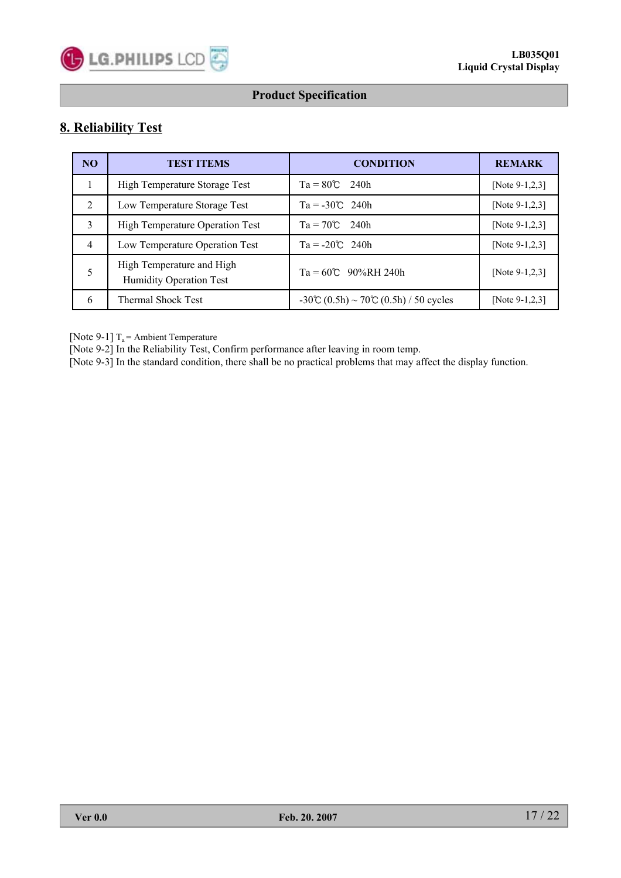

# **8. Reliability Test**

| <b>NO</b>      | <b>TEST ITEMS</b>                                    | <b>CONDITION</b>                     | <b>REMARK</b>     |
|----------------|------------------------------------------------------|--------------------------------------|-------------------|
| 1              | High Temperature Storage Test                        | $Ta = 80^{\circ}C$ 240h              | [Note $9-1,2,3$ ] |
| $\overline{2}$ | Low Temperature Storage Test                         | $Ta = -30^{\circ}C$ 240h             | [Note $9-1,2,3$ ] |
| 3              | <b>High Temperature Operation Test</b>               | $Ta = 70^{\circ}C$ 240h              | [Note $9-1,2,3$ ] |
| $\overline{4}$ | Low Temperature Operation Test                       | $Ta = -20^{\circ}C$ 240h             | [Note $9-1,2,3$ ] |
|                | High Temperature and High<br>Humidity Operation Test | $Ta = 60^{\circ}C$ 90%RH 240h        | [Note $9-1,2,3$ ] |
| 6              | <b>Thermal Shock Test</b>                            | -30℃ (0.5h) ~ 70℃ (0.5h) / 50 cycles | [Note $9-1,2,3$ ] |

[Note 9-1]  $T_a$  = Ambient Temperature

[Note 9-2] In the Reliability Test, Confirm performance after leaving in room temp.

[Note 9-3] In the standard condition, there shall be no practical problems that may affect the display function.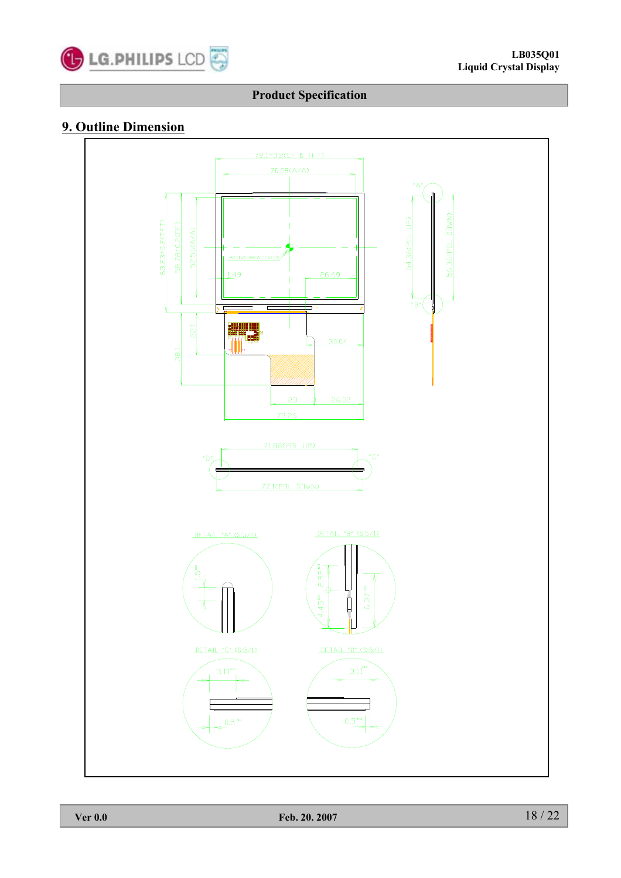

# **9. Outline Dimension**

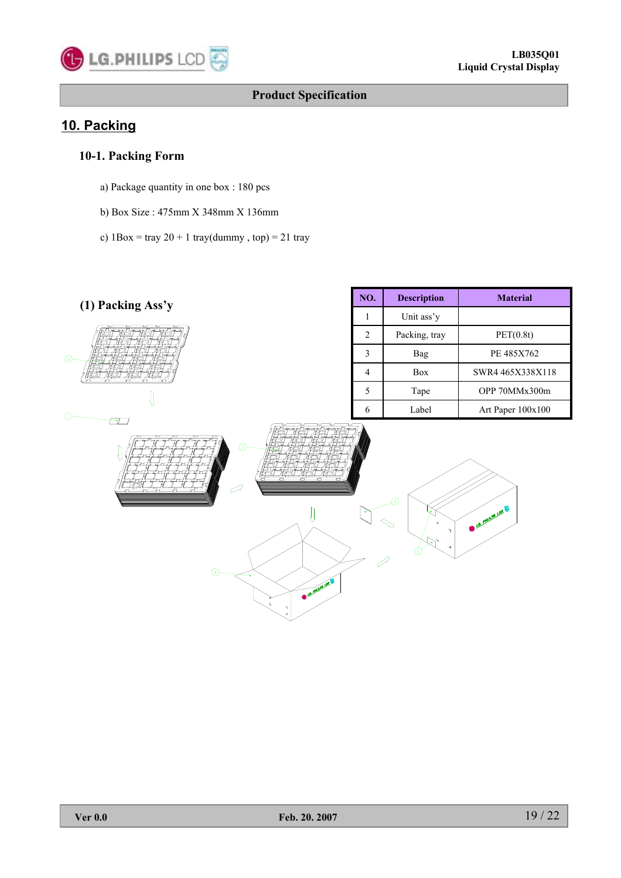

# **10. Packing**

# **10-1. Packing Form**

- a) Package quantity in one box : 180 pcs
- b) Box Size : 475mm X 348mm X 136mm
- c)  $1Box = \text{tray } 20 + 1 \text{tray}(dummy, top) = 21 \text{tray}$

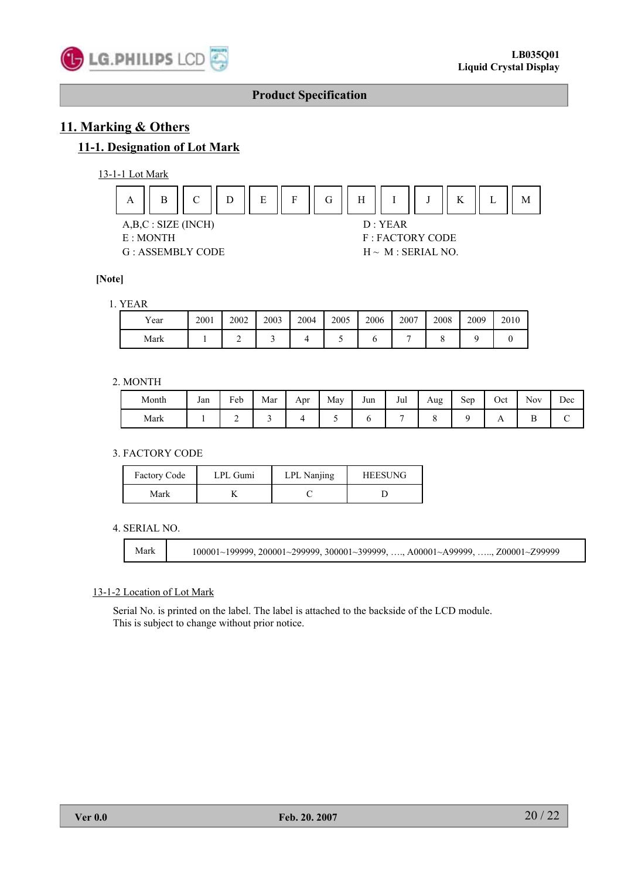

# **11. Marking & Others**

### **11-1. Designation of Lot Mark**





#### **[Note]**

#### 1. YEAR

| Year | 2001 | 2002 | 2003 | 2004 | 2005 | 2006 | 2007 | 2008 | 2009 | 2010 |
|------|------|------|------|------|------|------|------|------|------|------|
| Mark |      |      |      |      |      |      |      |      |      |      |

#### 2. MONTH

| Month | Jan | Feb | Mar | Apr | May | Jun | Jul | Aug | $\tilde{\phantom{a}}$<br>Sep | Oct            | <b>Nov</b> | Dec |
|-------|-----|-----|-----|-----|-----|-----|-----|-----|------------------------------|----------------|------------|-----|
| Mark  |     |     |     |     |     |     |     |     |                              | $\overline{1}$ |            |     |

#### 3. FACTORY CODE

| <b>Factory Code</b> | LPL Gumi | LPL Nanjing | <b>HEESUNG</b> |  |  |
|---------------------|----------|-------------|----------------|--|--|
| Mark                |          |             |                |  |  |

#### 4. SERIAL NO.

Mark 100001~199999, 200001~299999, 300001~399999, …., A00001~A99999, ….., Z00001~Z99999

#### 13-1-2 Location of Lot Mark

Serial No. is printed on the label. The label is attached to the backside of the LCD module. This is subject to change without prior notice.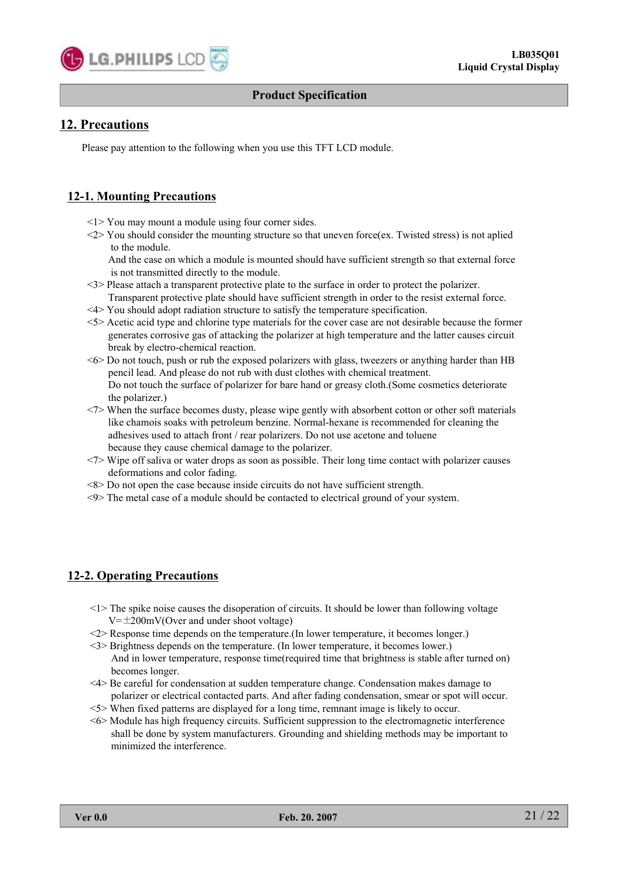

## **12. Precautions**

Please pay attention to the following when you use this TFT LCD module.

### **12-1. Mounting Precautions**

- <1> You may mount a module using four corner sides.
- <2> You should consider the mounting structure so that uneven force(ex. Twisted stress) is not aplied to the module.

And the case on which a module is mounted should have sufficient strength so that external force is not transmitted directly to the module.

- <3> Please attach a transparent protective plate to the surface in order to protect the polarizer. Transparent protective plate should have sufficient strength in order to the resist external force.
- <4> You should adopt radiation structure to satisfy the temperature specification.
- <5> Acetic acid type and chlorine type materials for the cover case are not desirable because the former generates corrosive gas of attacking the polarizer at high temperature and the latter causes circuit break by electro-chemical reaction.
- <6> Do not touch, push or rub the exposed polarizers with glass, tweezers or anything harder than HB pencil lead. And please do not rub with dust clothes with chemical treatment. Do not touch the surface of polarizer for bare hand or greasy cloth.(Some cosmetics deteriorate the polarizer.)
- <7> When the surface becomes dusty, please wipe gently with absorbent cotton or other soft materials like chamois soaks with petroleum benzine. Normal-hexane is recommended for cleaning the adhesives used to attach front / rear polarizers. Do not use acetone and toluene because they cause chemical damage to the polarizer.
- <7> Wipe off saliva or water drops as soon as possible. Their long time contact with polarizer causes deformations and color fading.
- <8> Do not open the case because inside circuits do not have sufficient strength.
- <9> The metal case of a module should be contacted to electrical ground of your system.

### **12-2. Operating Precautions**

- <1> The spike noise causes the disoperation of circuits. It should be lower than following voltage  $V=\pm 200$ mV(Over and under shoot voltage)
- <2> Response time depends on the temperature.(In lower temperature, it becomes longer.)
- <3> Brightness depends on the temperature. (In lower temperature, it becomes lower.) And in lower temperature, response time(required time that brightness is stable after turned on) becomes longer.
- <4> Be careful for condensation at sudden temperature change. Condensation makes damage to polarizer or electrical contacted parts. And after fading condensation, smear or spot will occur.
- <5> When fixed patterns are displayed for a long time, remnant image is likely to occur.
- <6> Module has high frequency circuits. Sufficient suppression to the electromagnetic interference shall be done by system manufacturers. Grounding and shielding methods may be important to minimized the interference.